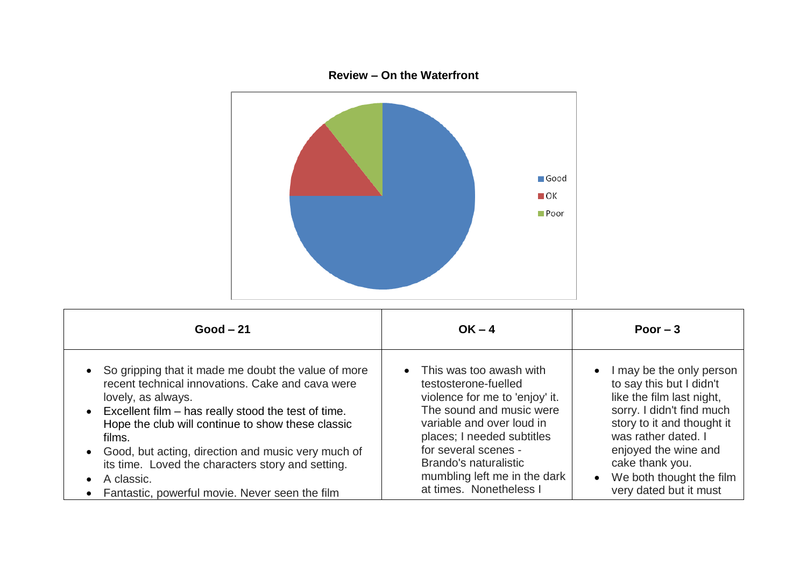

| $Good - 21$                                                                                                                                                                                                                                                                                                                                                                                                                                     | $OK - 4$                                                                                                                                                                                                                                                                               | Poor $-3$                                                                                                                                                                                                                                                                                      |
|-------------------------------------------------------------------------------------------------------------------------------------------------------------------------------------------------------------------------------------------------------------------------------------------------------------------------------------------------------------------------------------------------------------------------------------------------|----------------------------------------------------------------------------------------------------------------------------------------------------------------------------------------------------------------------------------------------------------------------------------------|------------------------------------------------------------------------------------------------------------------------------------------------------------------------------------------------------------------------------------------------------------------------------------------------|
| So gripping that it made me doubt the value of more<br>recent technical innovations. Cake and cava were<br>lovely, as always.<br>• Excellent film – has really stood the test of time.<br>Hope the club will continue to show these classic<br>films.<br>• Good, but acting, direction and music very much of<br>its time. Loved the characters story and setting.<br>A classic.<br>Fantastic, powerful movie. Never seen the film<br>$\bullet$ | • This was too awash with<br>testosterone-fuelled<br>violence for me to 'enjoy' it.<br>The sound and music were<br>variable and over loud in<br>places; I needed subtitles<br>for several scenes -<br>Brando's naturalistic<br>mumbling left me in the dark<br>at times. Nonetheless I | I may be the only person<br>$\bullet$<br>to say this but I didn't<br>like the film last night,<br>sorry. I didn't find much<br>story to it and thought it<br>was rather dated. I<br>enjoyed the wine and<br>cake thank you.<br>We both thought the film<br>$\bullet$<br>very dated but it must |